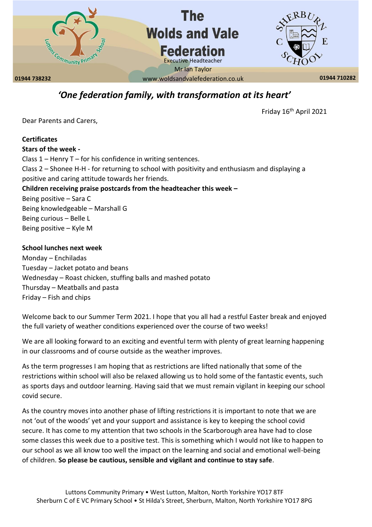

# *'One federation family, with transformation at its heart'*

Friday 16th April 2021

Dear Parents and Carers,

# **Certificates Stars of the week -** Class 1 – Henry T – for his confidence in writing sentences. Class 2 – Shonee H-H - for returning to school with positivity and enthusiasm and displaying a positive and caring attitude towards her friends. **Children receiving praise postcards from the headteacher this week –** Being positive – Sara C Being knowledgeable – Marshall G Being curious – Belle L Being positive – Kyle M

# **School lunches next week**

Monday – Enchiladas Tuesday – Jacket potato and beans Wednesday – Roast chicken, stuffing balls and mashed potato Thursday – Meatballs and pasta Friday – Fish and chips

Welcome back to our Summer Term 2021. I hope that you all had a restful Easter break and enjoyed the full variety of weather conditions experienced over the course of two weeks!

We are all looking forward to an exciting and eventful term with plenty of great learning happening in our classrooms and of course outside as the weather improves.

As the term progresses I am hoping that as restrictions are lifted nationally that some of the restrictions within school will also be relaxed allowing us to hold some of the fantastic events, such as sports days and outdoor learning. Having said that we must remain vigilant in keeping our school covid secure.

As the country moves into another phase of lifting restrictions it is important to note that we are not 'out of the woods' yet and your support and assistance is key to keeping the school covid secure. It has come to my attention that two schools in the Scarborough area have had to close some classes this week due to a positive test. This is something which I would not like to happen to our school as we all know too well the impact on the learning and social and emotional well-being of children. **So please be cautious, sensible and vigilant and continue to stay safe**.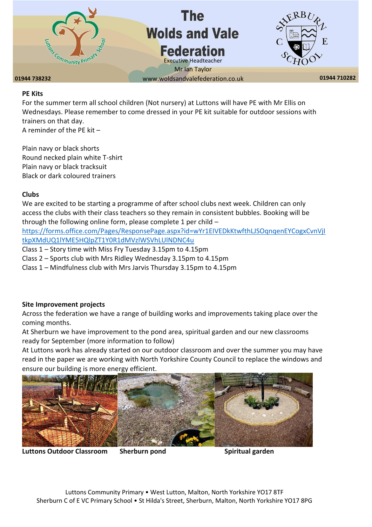

### **01944 738232 01944 710282** www.woldsandvalefederation.co.uk

#### **PE Kits**

For the summer term all school children (Not nursery) at Luttons will have PE with Mr Ellis on Wednesdays. Please remember to come dressed in your PE kit suitable for outdoor sessions with trainers on that day.

A reminder of the PE kit –

Plain navy or black shorts Round necked plain white T-shirt Plain navy or black tracksuit Black or dark coloured trainers

#### **Clubs**

We are excited to be starting a programme of after school clubs next week. Children can only access the clubs with their class teachers so they remain in consistent bubbles. Booking will be through the following online form, please complete 1 per child –

[https://forms.office.com/Pages/ResponsePage.aspx?id=wYr1EIVEDkKtwfthLJSOqnqenEYCogxCvnVjI](https://forms.office.com/Pages/ResponsePage.aspx?id=wYr1EIVEDkKtwfthLJSOqnqenEYCogxCvnVjItkpXMdUQ1lYME5HQlpZT1Y0R1dMVzlWSVhLUlNDNC4u) [tkpXMdUQ1lYME5HQlpZT1Y0R1dMVzlWSVhLUlNDNC4u](https://forms.office.com/Pages/ResponsePage.aspx?id=wYr1EIVEDkKtwfthLJSOqnqenEYCogxCvnVjItkpXMdUQ1lYME5HQlpZT1Y0R1dMVzlWSVhLUlNDNC4u)

Class 1 – Story time with Miss Fry Tuesday 3.15pm to 4.15pm

Class 2 – Sports club with Mrs Ridley Wednesday 3.15pm to 4.15pm

Class 1 – Mindfulness club with Mrs Jarvis Thursday 3.15pm to 4.15pm

#### **Site Improvement projects**

Across the federation we have a range of building works and improvements taking place over the coming months.

At Sherburn we have improvement to the pond area, spiritual garden and our new classrooms ready for September (more information to follow)

At Luttons work has already started on our outdoor classroom and over the summer you may have read in the paper we are working with North Yorkshire County Council to replace the windows and ensure our building is more energy efficient.



Luttons Outdoor Classroom Sherburn pond **Sharp Spiritual garden** Spiritual garden